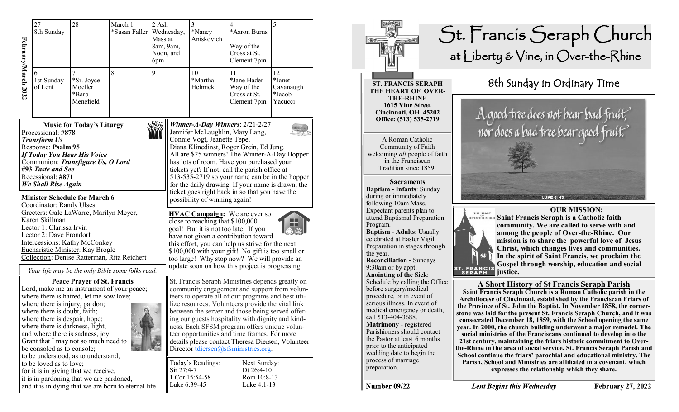|                                                                                                                                                                                                                                                                                                                                                                                                                                                                                                                                                                                                                                               | 27<br>8th Sunday                                                                    | 28<br>March 1<br>*Susan Faller   Wednesday, |  | 2 Ash<br>Mass at<br>8am, 9am,<br>Noon, and<br>6pm |                                                                                                                                                                                                                                                                                                                                                                                                                                                                                                                                                                                                                                                                                                                                                                                                                                                                   | 3<br>*Nancy<br>Aniskovich                                      | 4<br>*Aaron Burns<br>Way of the<br>Cross at St.<br>Clement 7pm | 5 |
|-----------------------------------------------------------------------------------------------------------------------------------------------------------------------------------------------------------------------------------------------------------------------------------------------------------------------------------------------------------------------------------------------------------------------------------------------------------------------------------------------------------------------------------------------------------------------------------------------------------------------------------------------|-------------------------------------------------------------------------------------|---------------------------------------------|--|---------------------------------------------------|-------------------------------------------------------------------------------------------------------------------------------------------------------------------------------------------------------------------------------------------------------------------------------------------------------------------------------------------------------------------------------------------------------------------------------------------------------------------------------------------------------------------------------------------------------------------------------------------------------------------------------------------------------------------------------------------------------------------------------------------------------------------------------------------------------------------------------------------------------------------|----------------------------------------------------------------|----------------------------------------------------------------|---|
| February/March 2022                                                                                                                                                                                                                                                                                                                                                                                                                                                                                                                                                                                                                           | 7<br>8<br>9<br>1st Sunday<br>*Sr. Joyce<br>of Lent<br>Moeller<br>*Barb<br>Menefield |                                             |  |                                                   | 10<br>*Martha<br>Helmick                                                                                                                                                                                                                                                                                                                                                                                                                                                                                                                                                                                                                                                                                                                                                                                                                                          | 11<br>*Jane Hader<br>Way of the<br>Cross at St.<br>Clement 7pm | 12<br>*Janet<br>Cavanaugh<br>*Jacob<br>Yacucci                 |   |
| <b>Music for Today's Liturgy</b><br>Processional: #878<br><b>Transform Us</b><br>Response: Psalm 95<br><b>If Today You Hear His Voice</b><br>Communion: Transfigure Us, O Lord<br>#93 Taste and See<br>Recessional: #871<br><b>We Shall Rise Again</b><br><b>Minister Schedule for March 6</b><br>Coordinator: Randy Ulses<br>Greeters: Gale LaWarre, Marilyn Meyer,<br>Karen Skillman<br>Lector 1: Clarissa Irvin<br>Lector 2: Dave Frondorf<br><b>Intercessions: Kathy McConkey</b><br>Eucharistic Minister: Kay Brogle<br>Collection: Denise Ratterman, Rita Reichert                                                                      |                                                                                     |                                             |  |                                                   | Winner-A-Day Winners: $2/21 - 2/27$<br>Jennifer McLaughlin, Mary Lang,<br>Connie Vogt, Jeanette Tepe,<br>Diana Klinedinst, Roger Grein, Ed Jung.<br>All are \$25 winners! The Winner-A-Day Hopper<br>has lots of room. Have you purchased your<br>tickets yet? If not, call the parish office at<br>513-535-2719 so your name can be in the hopper<br>for the daily drawing. If your name is drawn, the<br>ticket goes right back in so that you have the<br>possibility of winning again!<br><b>HVAC Campaign:</b> We are ever so<br>close to reaching that \$100,000<br>goal! But it is not too late. If you<br>have not given a contribution toward<br>this effort, you can help us strive for the next<br>\$100,000 with your gift! No gift is too small or<br>too large! Why stop now? We will provide an<br>update soon on how this project is progressing. |                                                                |                                                                |   |
| Your life may be the only Bible some folks read.<br><b>Peace Prayer of St. Francis</b><br>Lord, make me an instrument of your peace;<br>where there is hatred, let me sow love;<br>where there is injury, pardon;<br>where there is doubt, faith;<br>where there is despair, hope;<br>where there is darkness, light;<br>and where there is sadness, joy.<br>Grant that I may not so much need to<br>be consoled as to console;<br>to be understood, as to understand,<br>to be loved as to love;<br>for it is in giving that we receive,<br>it is in pardoning that we are pardoned,<br>and it is in dying that we are born to eternal life. |                                                                                     |                                             |  |                                                   | St. Francis Seraph Ministries depends greatly on<br>community engagement and support from volun-<br>teers to operate all of our programs and best uti-<br>lize resources. Volunteers provide the vital link<br>between the server and those being served offer-<br>ing our guests hospitality with dignity and kind-<br>ness. Each SFSM program offers unique volun-<br>teer opportunities and time frames. For more<br>details please contact Theresa Diersen, Volunteer<br>Director tdiersen@sfsministries.org.<br>Today's Readings:<br>Next Sunday:<br>Sir 27:4-7<br>Dt $26:4-10$<br>1 Cor 15:54-58<br>Rom 10:8-13<br>Luke 6:39-45<br>Luke 4:1-13                                                                                                                                                                                                              |                                                                |                                                                |   |